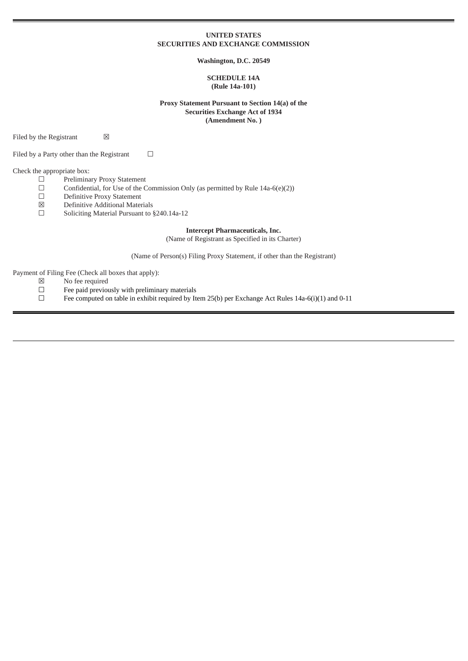## **UNITED STATES SECURITIES AND EXCHANGE COMMISSION**

## **Washington, D.C. 20549**

## **SCHEDULE 14A (Rule 14a-101)**

**Proxy Statement Pursuant to Section 14(a) of the Securities Exchange Act of 1934 (Amendment No. )**

Filed by the Registrant  $\boxtimes$ 

Filed by a Party other than the Registrant  $□$ 

Check the appropriate box:<br> $\square$  Prelimina

- $\Box$  Preliminary Proxy Statement<br>  $\Box$  Confidential, for Use of the C
- □ Confidential, for Use of the Commission Only (as permitted by Rule 14a-6(e)(2))<br>□ Definitive Proxy Statement
- ☐ Definitive Proxy Statement
- ☒ Definitive Additional Materials
- ☐ Soliciting Material Pursuant to §240.14a-12

## **Intercept Pharmaceuticals, Inc.**

(Name of Registrant as Specified in its Charter)

(Name of Person(s) Filing Proxy Statement, if other than the Registrant)

Payment of Filing Fee (Check all boxes that apply):

- $\boxtimes$  No fee required<br>  $\Box$  Fee paid previou
- - Fee computed on table in exhibit required by Item 25(b) per Exchange Act Rules 14a-6(i)(1) and 0-11